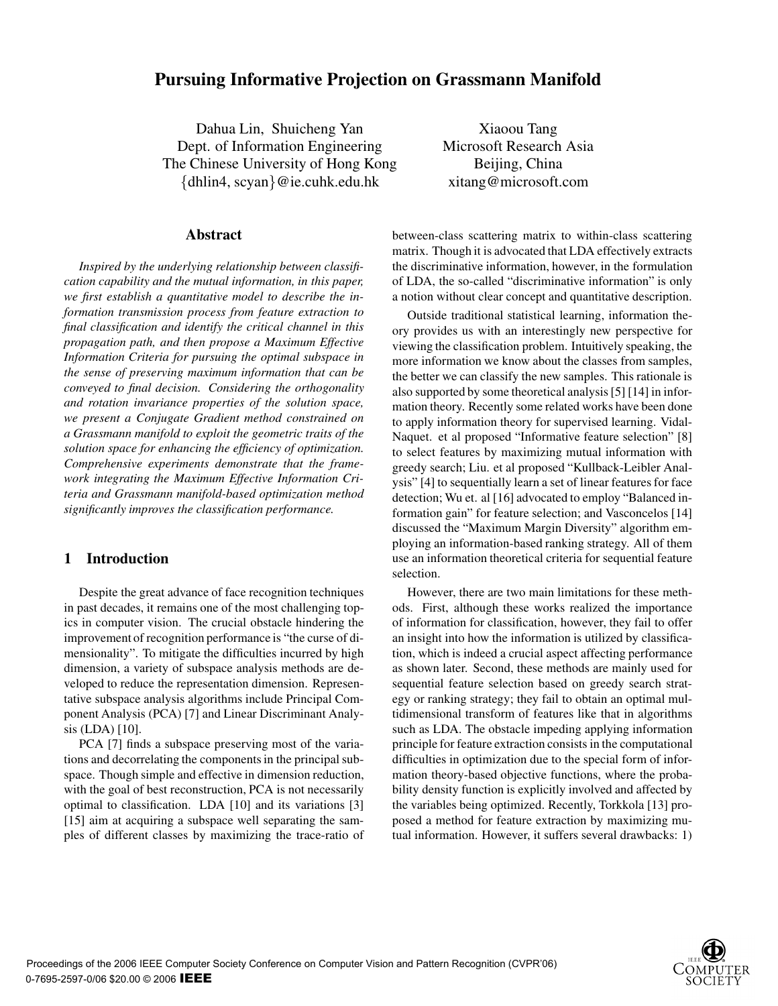# **Pursuing Informative Projection on Grassmann Manifold**

Dahua Lin, Shuicheng Yan Dept. of Information Engineering The Chinese University of Hong Kong {dhlin4, scyan}@ie.cuhk.edu.hk

**Abstract**

*Inspired by the underlying relationship between classification capability and the mutual information, in this paper, we first establish a quantitative model to describe the information transmission process from feature extraction to final classification and identify the critical channel in this propagation path, and then propose a Maximum Effective Information Criteria for pursuing the optimal subspace in the sense of preserving maximum information that can be conveyed to final decision. Considering the orthogonality and rotation invariance properties of the solution space, we present a Conjugate Gradient method constrained on a Grassmann manifold to exploit the geometric traits of the solution space for enhancing the efficiency of optimization. Comprehensive experiments demonstrate that the framework integrating the Maximum Effective Information Criteria and Grassmann manifold-based optimization method significantly improves the classification performance.*

## **1 Introduction**

Despite the great advance of face recognition techniques in past decades, it remains one of the most challenging topics in computer vision. The crucial obstacle hindering the improvement of recognition performance is "the curse of dimensionality". To mitigate the difficulties incurred by high dimension, a variety of subspace analysis methods are developed to reduce the representation dimension. Representative subspace analysis algorithms include Principal Component Analysis (PCA) [7] and Linear Discriminant Analysis (LDA) [10].

PCA [7] finds a subspace preserving most of the variations and decorrelating the components in the principal subspace. Though simple and effective in dimension reduction, with the goal of best reconstruction, PCA is not necessarily optimal to classification. LDA [10] and its variations [3] [15] aim at acquiring a subspace well separating the samples of different classes by maximizing the trace-ratio of

Xiaoou Tang Microsoft Research Asia Beijing, China xitang@microsoft.com

between-class scattering matrix to within-class scattering matrix. Though it is advocated that LDA effectively extracts the discriminative information, however, in the formulation of LDA, the so-called "discriminative information" is only a notion without clear concept and quantitative description.

Outside traditional statistical learning, information theory provides us with an interestingly new perspective for viewing the classification problem. Intuitively speaking, the more information we know about the classes from samples, the better we can classify the new samples. This rationale is also supported by some theoretical analysis [5] [14] in information theory. Recently some related works have been done to apply information theory for supervised learning. Vidal-Naquet. et al proposed "Informative feature selection" [8] to select features by maximizing mutual information with greedy search; Liu. et al proposed "Kullback-Leibler Analysis" [4] to sequentially learn a set of linear features for face detection; Wu et. al [16] advocated to employ "Balanced information gain" for feature selection; and Vasconcelos [14] discussed the "Maximum Margin Diversity" algorithm employing an information-based ranking strategy. All of them use an information theoretical criteria for sequential feature selection.

However, there are two main limitations for these methods. First, although these works realized the importance of information for classification, however, they fail to offer an insight into how the information is utilized by classification, which is indeed a crucial aspect affecting performance as shown later. Second, these methods are mainly used for sequential feature selection based on greedy search strategy or ranking strategy; they fail to obtain an optimal multidimensional transform of features like that in algorithms such as LDA. The obstacle impeding applying information principle for feature extraction consists in the computational difficulties in optimization due to the special form of information theory-based objective functions, where the probability density function is explicitly involved and affected by the variables being optimized. Recently, Torkkola [13] proposed a method for feature extraction by maximizing mutual information. However, it suffers several drawbacks: 1)

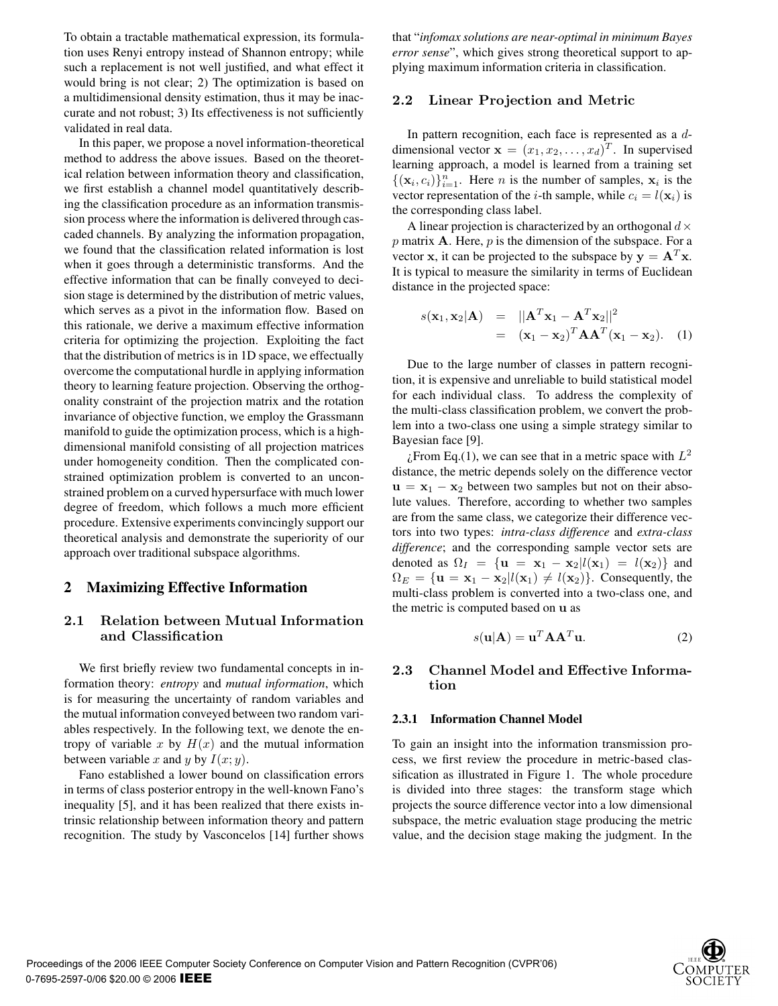To obtain a tractable mathematical expression, its formulation uses Renyi entropy instead of Shannon entropy; while such a replacement is not well justified, and what effect it would bring is not clear; 2) The optimization is based on a multidimensional density estimation, thus it may be inaccurate and not robust; 3) Its effectiveness is not sufficiently validated in real data.

In this paper, we propose a novel information-theoretical method to address the above issues. Based on the theoretical relation between information theory and classification, we first establish a channel model quantitatively describing the classification procedure as an information transmission process where the information is delivered through cascaded channels. By analyzing the information propagation, we found that the classification related information is lost when it goes through a deterministic transforms. And the effective information that can be finally conveyed to decision stage is determined by the distribution of metric values, which serves as a pivot in the information flow. Based on this rationale, we derive a maximum effective information criteria for optimizing the projection. Exploiting the fact that the distribution of metrics is in 1D space, we effectually overcome the computational hurdle in applying information theory to learning feature projection. Observing the orthogonality constraint of the projection matrix and the rotation invariance of objective function, we employ the Grassmann manifold to guide the optimization process, which is a highdimensional manifold consisting of all projection matrices under homogeneity condition. Then the complicated constrained optimization problem is converted to an unconstrained problem on a curved hypersurface with much lower degree of freedom, which follows a much more efficient procedure. Extensive experiments convincingly support our theoretical analysis and demonstrate the superiority of our approach over traditional subspace algorithms.

### **2 Maximizing Effective Information**

## **2.1 Relation between Mutual Information and Classification**

We first briefly review two fundamental concepts in information theory: *entropy* and *mutual information*, which is for measuring the uncertainty of random variables and the mutual information conveyed between two random variables respectively. In the following text, we denote the entropy of variable x by  $H(x)$  and the mutual information between variable x and y by  $I(x; y)$ .

Fano established a lower bound on classification errors in terms of class posterior entropy in the well-known Fano's inequality [5], and it has been realized that there exists intrinsic relationship between information theory and pattern recognition. The study by Vasconcelos [14] further shows that "*infomax solutions are near-optimal in minimum Bayes error sense*", which gives strong theoretical support to applying maximum information criteria in classification.

#### **2.2 Linear Projection and Metric**

In pattern recognition, each face is represented as a ddimensional vector  $\mathbf{x} = (x_1, x_2, \dots, x_d)^T$ . In supervised learning approach, a model is learned from a training set  $\{(x_i, c_i)\}_{i=1}^n$ . Here *n* is the number of samples,  $x_i$  is the vector representation of the *i*-th sample, while  $c_i - l(x_i)$  is vector representation of the *i*-th sample, while  $c_i = l(\mathbf{x}_i)$  is the corresponding class label.

A linear projection is characterized by an orthogonal  $d \times$ p matrix **A**. Here, p is the dimension of the subspace. For a vector **x**, it can be projected to the subspace by  $y = A^T x$ . It is typical to measure the similarity in terms of Euclidean distance in the projected space:

$$
s(\mathbf{x}_1, \mathbf{x}_2 | \mathbf{A}) = ||\mathbf{A}^T \mathbf{x}_1 - \mathbf{A}^T \mathbf{x}_2||^2
$$
  
=  $(\mathbf{x}_1 - \mathbf{x}_2)^T \mathbf{A} \mathbf{A}^T (\mathbf{x}_1 - \mathbf{x}_2).$  (1)

Due to the large number of classes in pattern recognition, it is expensive and unreliable to build statistical model for each individual class. To address the complexity of the multi-class classification problem, we convert the problem into a two-class one using a simple strategy similar to Bayesian face [9].

 $i$ From Eq.(1), we can see that in a metric space with  $L^2$ distance, the metric depends solely on the difference vector  $\mathbf{u} = \mathbf{x}_1 - \mathbf{x}_2$  between two samples but not on their absolute values. Therefore, according to whether two samples are from the same class, we categorize their difference vectors into two types: *intra-class difference* and *extra-class difference*; and the corresponding sample vector sets are denoted as  $\Omega_I = {\mathbf{u} = \mathbf{x}_1 - \mathbf{x}_2 | l(\mathbf{x}_1) = l(\mathbf{x}_2)}$  and  $\Omega_E = {\mathbf{u} = \mathbf{x}_1 - \mathbf{x}_2 | l(\mathbf{x}_1) \neq l(\mathbf{x}_2) }$ . Consequently, the multi-class problem is converted into a two-class one and multi-class problem is converted into a two-class one, and the metric is computed based on **u** as

$$
s(\mathbf{u}|\mathbf{A}) = \mathbf{u}^T \mathbf{A} \mathbf{A}^T \mathbf{u}.
$$
 (2)

## **2.3 Channel Model and Effective Information**

### **2.3.1 Information Channel Model**

To gain an insight into the information transmission process, we first review the procedure in metric-based classification as illustrated in Figure 1. The whole procedure is divided into three stages: the transform stage which projects the source difference vector into a low dimensional subspace, the metric evaluation stage producing the metric value, and the decision stage making the judgment. In the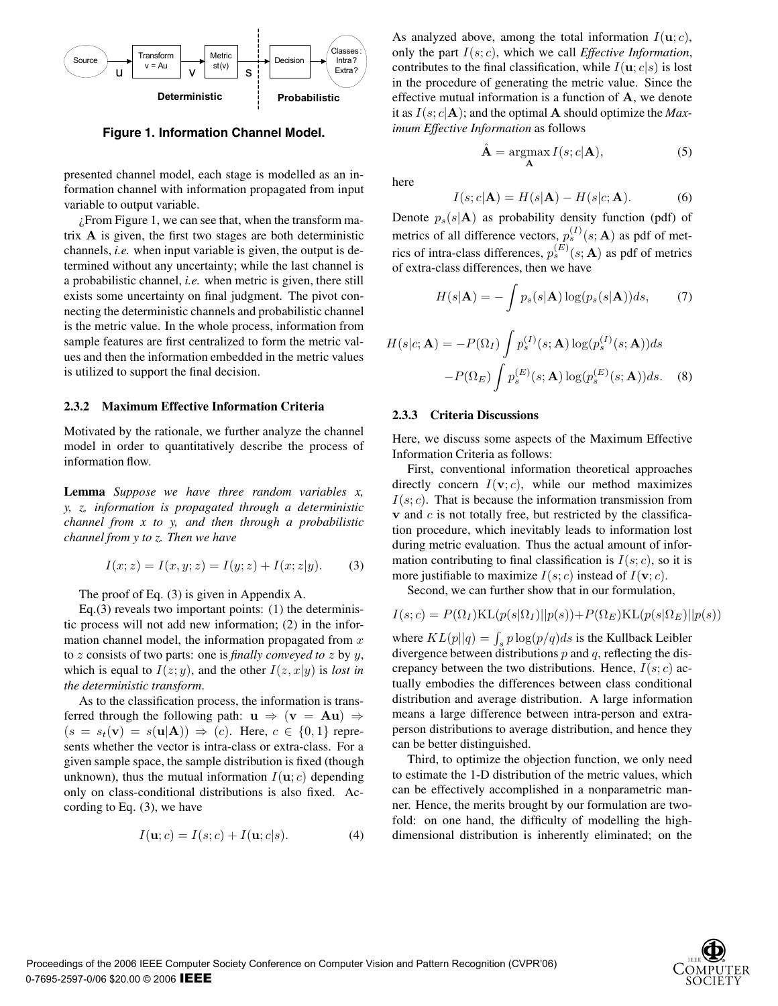

**Figure 1. Information Channel Model.**

presented channel model, each stage is modelled as an information channel with information propagated from input variable to output variable.

¿From Figure 1, we can see that, when the transform matrix **A** is given, the first two stages are both deterministic channels, *i.e.* when input variable is given, the output is determined without any uncertainty; while the last channel is a probabilistic channel, *i.e.* when metric is given, there still exists some uncertainty on final judgment. The pivot connecting the deterministic channels and probabilistic channel is the metric value. In the whole process, information from sample features are first centralized to form the metric values and then the information embedded in the metric values is utilized to support the final decision.

#### **2.3.2 Maximum Effective Information Criteria**

Motivated by the rationale, we further analyze the channel model in order to quantitatively describe the process of information flow.

**Lemma** *Suppose we have three random variables x, y, z, information is propagated through a deterministic channel from x to y, and then through a probabilistic channel from y to z. Then we have*

$$
I(x; z) = I(x, y; z) = I(y; z) + I(x; z|y).
$$
 (3)

The proof of Eq. (3) is given in Appendix A.

Eq.(3) reveals two important points:  $(1)$  the deterministic process will not add new information; (2) in the information channel model, the information propagated from  $x$ to z consists of two parts: one is *finally conveyed to* z by y, which is equal to  $I(z; y)$ , and the other  $I(z, x|y)$  is *lost in the deterministic transform*.

As to the classification process, the information is transferred through the following path:  $\mathbf{u} \Rightarrow (\mathbf{v} = \mathbf{A}\mathbf{u}) \Rightarrow$  $(s = s_t(\mathbf{v}) = s(\mathbf{u}|\mathbf{A})) \Rightarrow (c)$ . Here,  $c \in \{0,1\}$  represents whether the vector is intra-class or extra-class. For a given sample space, the sample distribution is fixed (though unknown), thus the mutual information  $I(\mathbf{u}; c)$  depending only on class-conditional distributions is also fixed. According to Eq. (3), we have

$$
I(\mathbf{u};c) = I(s;c) + I(\mathbf{u};c|s).
$$
 (4)

As analyzed above, among the total information  $I(\mathbf{u}; c)$ , only the part <sup>I</sup>(s; <sup>c</sup>), which we call *Effective Information*, contributes to the final classification, while  $I(\mathbf{u}; c|s)$  is lost in the procedure of generating the metric value. Since the effective mutual information is a function of **A**, we denote it as  $I(s; c | \mathbf{A})$ ; and the optimal **A** should optimize the *Maximum Effective Information* as follows

$$
\hat{\mathbf{A}} = \underset{\mathbf{A}}{\operatorname{argmax}} \, I(s; c | \mathbf{A}), \tag{5}
$$

here

$$
I(s; c | \mathbf{A}) = H(s | \mathbf{A}) - H(s | c; \mathbf{A}).
$$
\n(6)

Denote  $p_s(s|\mathbf{A})$  as probability density function (pdf) of metrics of all diffeomore vectors  $u^{(1)}(s, \mathbf{A})$  or a df of metric metrics of all difference vectors,  $p_s^{(I)}(s; A)$  as pdf of met-<br>  $p_s^{(I)}(s; A)$  as a difference  $p_s^{(I)}(s; A)$  as a differential rics of intra-class differences,  $p_s^{(E)}(s; \mathbf{A})$  as pdf of metrics<br>of extra-class differences, then we have of extra-class differences, then we have

$$
H(s|\mathbf{A}) = -\int p_s(s|\mathbf{A}) \log(p_s(s|\mathbf{A})) ds, \qquad (7)
$$

$$
H(s|c; \mathbf{A}) = -P(\Omega_I) \int p_s^{(I)}(s; \mathbf{A}) \log(p_s^{(I)}(s; \mathbf{A})) ds
$$

$$
-P(\Omega_E) \int p_s^{(E)}(s; \mathbf{A}) \log(p_s^{(E)}(s; \mathbf{A})) ds. \quad (8)
$$

#### **2.3.3 Criteria Discussions**

Here, we discuss some aspects of the Maximum Effective Information Criteria as follows:

First, conventional information theoretical approaches directly concern  $I(\mathbf{v}; c)$ , while our method maximizes  $I(s; c)$ . That is because the information transmission from **v** and c is not totally free, but restricted by the classification procedure, which inevitably leads to information lost during metric evaluation. Thus the actual amount of information contributing to final classification is  $I(s; c)$ , so it is more justifiable to maximize  $I(s; c)$  instead of  $I(\mathbf{v}; c)$ .

Second, we can further show that in our formulation,

$$
I(s; c) = P(\Omega_I)KL(p(s|\Omega_I)||p(s)) + P(\Omega_E)KL(p(s|\Omega_E)||p(s))
$$

where  $KL(p||q) = \int_s p \log(p/q) ds$  is the Kullback Leibler<br>divergence between distributions n and a reflecting the disdivergence between distributions  $p$  and  $q$ , reflecting the discrepancy between the two distributions. Hence,  $I(s; c)$  actually embodies the differences between class conditional distribution and average distribution. A large information means a large difference between intra-person and extraperson distributions to average distribution, and hence they can be better distinguished.

Third, to optimize the objection function, we only need to estimate the 1-D distribution of the metric values, which can be effectively accomplished in a nonparametric manner. Hence, the merits brought by our formulation are twofold: on one hand, the difficulty of modelling the highdimensional distribution is inherently eliminated; on the

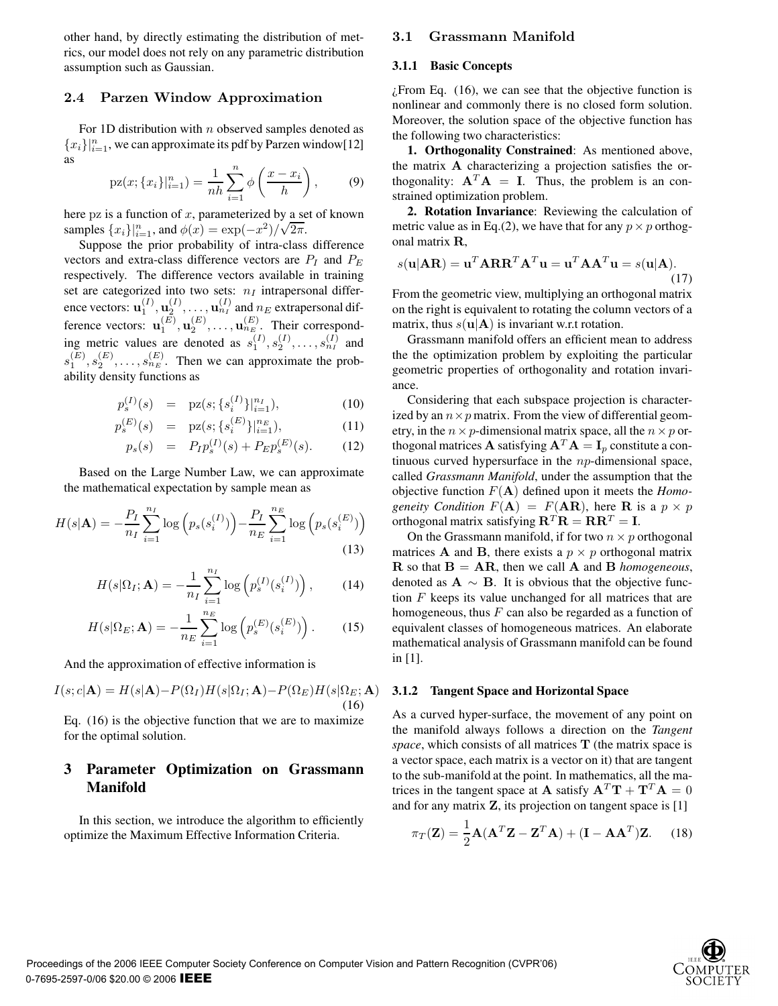other hand, by directly estimating the distribution of metrics, our model does not rely on any parametric distribution assumption such as Gaussian.

## **2.4 Parzen Window Approximation**

For 1D distribution with  $n$  observed samples denoted as  ${x_i}\big|_{i=1}^n$ , we can approximate its pdf by Parzen window[12] as

$$
pz(x; \{x_i\}|_{i=1}^n) = \frac{1}{nh} \sum_{i=1}^n \phi\left(\frac{x - x_i}{h}\right), \quad (9)
$$

here pz is a function of  $x$ , parameterized by a set of known samples  $\{x_i\}_{i=1}^n$ , and  $\phi(x) = \exp(-x^2)/\sqrt{2\pi}$ .<br>Suppose the prior probability of intra-class

Suppose the prior probability of intra-class difference vectors and extra-class difference vectors are  $P_I$  and  $P_E$ respectively. The difference vectors available in training set are categorized into two sets:  $n_I$  intrapersonal difference vectors:  $\mathbf{u}_1^{(I)}, \mathbf{u}_2^{(I)}, \dots, \mathbf{u}_{n_I}^{(I)}$  and  $n_E$  extrapersonal difference vectors:  $\mathbf{u}_1^{(\vec{E})}, \mathbf{u}_2^{(E)}, \dots, \mathbf{u}_{n_E}^{(E)}$ . Their corresponding metric values are denoted as  $s_1^{(I)}, s_2^{(I)}, \ldots, s_{n_I}^{(I)}$  and  $s_1^{(E)}, s_2^{(E)}, \ldots, s_{n_E}^{(E)}$ . Then we can approximate the probability density functions as

$$
p_s^{(I)}(s) = \text{pz}(s; \{s_i^{(I)}\}|_{i=1}^{n_I}),
$$
\n(10)

$$
p_s^{(E)}(s) = \text{pz}(s; \{s_i^{(E)}\}|_{i=1}^{n_E}),
$$
\n(11)

$$
p_s(s) = P_I p_s^{(I)}(s) + P_E p_s^{(E)}(s). \tag{12}
$$

Based on the Large Number Law, we can approximate the mathematical expectation by sample mean as

$$
H(s|\mathbf{A}) = -\frac{P_I}{n_I} \sum_{i=1}^{n_I} \log \left( p_s(s_i^{(I)}) \right) - \frac{P_I}{n_E} \sum_{i=1}^{n_E} \log \left( p_s(s_i^{(E)}) \right)
$$
(13)

$$
H(s|\Omega_I; \mathbf{A}) = -\frac{1}{n_I} \sum_{i=1}^{n_I} \log \left( p_s^{(I)}(s_i^{(I)}) \right), \quad (14)
$$

$$
H(s|\Omega_E; \mathbf{A}) = -\frac{1}{n_E} \sum_{i=1}^{n_E} \log \left( p_s^{(E)}(s_i^{(E)}) \right).
$$
 (15)

And the approximation of effective information is

$$
I(s; c | \mathbf{A}) = H(s | \mathbf{A}) - P(\Omega_I) H(s | \Omega_I; \mathbf{A}) - P(\Omega_E) H(s | \Omega_E; \mathbf{A})
$$
\n(16)

Eq. (16) is the objective function that we are to maximize for the optimal solution.

## **3 Parameter Optimization on Grassmann Manifold**

In this section, we introduce the algorithm to efficiently optimize the Maximum Effective Information Criteria.

### **3.1 Grassmann Manifold**

#### **3.1.1 Basic Concepts**

 $i$ From Eq. (16), we can see that the objective function is nonlinear and commonly there is no closed form solution. Moreover, the solution space of the objective function has the following two characteristics:

**1. Orthogonality Constrained**: As mentioned above, the matrix **A** characterizing a projection satisfies the orthogonality:  $A^T A = I$ . Thus, the problem is an constrained optimization problem.

**2. Rotation Invariance**: Reviewing the calculation of metric value as in Eq.(2), we have that for any  $p \times p$  orthogonal matrix **R**,

$$
s(\mathbf{u}|\mathbf{A}\mathbf{R}) = \mathbf{u}^T \mathbf{A} \mathbf{R} \mathbf{R}^T \mathbf{A}^T \mathbf{u} = \mathbf{u}^T \mathbf{A} \mathbf{A}^T \mathbf{u} = s(\mathbf{u}|\mathbf{A}).
$$
\n(17)

From the geometric view, multiplying an orthogonal matrix on the right is equivalent to rotating the column vectors of a matrix, thus  $s(\mathbf{u}|\mathbf{A})$  is invariant w.r.t rotation.

Grassmann manifold offers an efficient mean to address the the optimization problem by exploiting the particular geometric properties of orthogonality and rotation invariance.

Considering that each subspace projection is characterized by an  $n \times p$  matrix. From the view of differential geometry, in the  $n \times p$ -dimensional matrix space, all the  $n \times p$  orthogonal matrices **A** satisfying  $A^T A = I_p$  constitute a continuous curved hypersurface in the np-dimensional space, called *Grassmann Manifold*, under the assumption that the objective function  $F(A)$  defined upon it meets the *Homogeneity Condition*  $F(A) = F(AR)$ , here **R** is a  $p \times p$ orthogonal matrix satisfying  $\mathbf{R}^T \mathbf{R} = \mathbf{R} \mathbf{R}^T = \mathbf{I}$ .

On the Grassmann manifold, if for two  $n \times p$  orthogonal matrices **A** and **B**, there exists a  $p \times p$  orthogonal matrix  $R$  so that  $B = AR$ , then we call  $A$  and  $B$  *homogeneous*, denoted as  $\mathbf{A} \sim \mathbf{B}$ . It is obvious that the objective function  $F$  keeps its value unchanged for all matrices that are homogeneous, thus  $F$  can also be regarded as a function of equivalent classes of homogeneous matrices. An elaborate mathematical analysis of Grassmann manifold can be found in [1].

### **3.1.2 Tangent Space and Horizontal Space**

As a curved hyper-surface, the movement of any point on the manifold always follows a direction on the *Tangent space*, which consists of all matrices **T** (the matrix space is a vector space, each matrix is a vector on it) that are tangent to the sub-manifold at the point. In mathematics, all the matrices in the tangent space at **A** satisfy  $A^T T + T^T A = 0$ and for any matrix **Z**, its projection on tangent space is [1]

$$
\pi_T(\mathbf{Z}) = \frac{1}{2}\mathbf{A}(\mathbf{A}^T\mathbf{Z} - \mathbf{Z}^T\mathbf{A}) + (\mathbf{I} - \mathbf{A}\mathbf{A}^T)\mathbf{Z}.
$$
 (18)

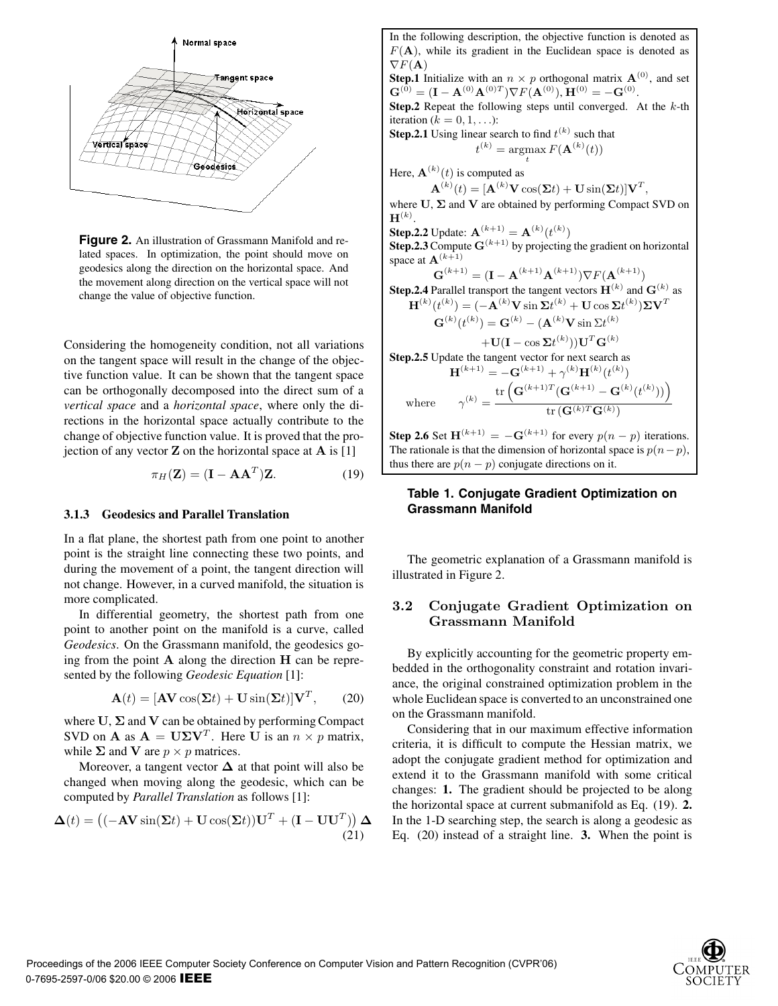

**Figure 2.** An illustration of Grassmann Manifold and related spaces. In optimization, the point should move on geodesics along the direction on the horizontal space. And the movement along direction on the vertical space will not change the value of objective function.

Considering the homogeneity condition, not all variations on the tangent space will result in the change of the objective function value. It can be shown that the tangent space can be orthogonally decomposed into the direct sum of a *vertical space* and a *horizontal space*, where only the directions in the horizontal space actually contribute to the change of objective function value. It is proved that the projection of any vector **Z** on the horizontal space at **A** is [1]

$$
\pi_H(\mathbf{Z}) = (\mathbf{I} - \mathbf{A}\mathbf{A}^T)\mathbf{Z}.
$$
 (19)

#### **3.1.3 Geodesics and Parallel Translation**

In a flat plane, the shortest path from one point to another point is the straight line connecting these two points, and during the movement of a point, the tangent direction will not change. However, in a curved manifold, the situation is more complicated.

In differential geometry, the shortest path from one point to another point on the manifold is a curve, called *Geodesics*. On the Grassmann manifold, the geodesics going from the point **A** along the direction **H** can be represented by the following *Geodesic Equation* [1]:

$$
\mathbf{A}(t) = [\mathbf{A}\mathbf{V}\cos(\mathbf{\Sigma}t) + \mathbf{U}\sin(\mathbf{\Sigma}t)]\mathbf{V}^T, \qquad (20)
$$

where  $U$ ,  $\Sigma$  and  $V$  can be obtained by performing Compact SVD on **A** as  $A = U\Sigma V^T$ . Here **U** is an  $n \times p$  matrix, while  $\Sigma$  and **V** are  $p \times p$  matrices.

Moreover, a tangent vector  $\Delta$  at that point will also be changed when moving along the geodesic, which can be computed by *Parallel Translation* as follows [1]:

$$
\Delta(t) = ((-\mathbf{A}\mathbf{V}\sin(\Sigma t) + \mathbf{U}\cos(\Sigma t))\mathbf{U}^T + (\mathbf{I} - \mathbf{U}\mathbf{U}^T))\Delta
$$
\n(21)

In the following description, the objective function is denoted as  $F(A)$ , while its gradient in the Euclidean space is denoted as  $\nabla F(\mathbf{A})$ 

**Step.1** Initialize with an  $n \times p$  orthogonal matrix  $\mathbf{A}^{(0)}$ , and set  $\mathbf{G}^{(0)} = (\mathbf{I} - \mathbf{A}^{(0)}\mathbf{A}^{(0)T})\nabla F(\mathbf{A}^{(0)}), \mathbf{H}^{(0)} = -\mathbf{G}^{(0)}.$ 

**Step.2** Repeat the following steps until converged. At the k-th iteration ( $k = 0, 1, ...$ ):<br>**Step.2.1** Using linear search to find  $t^{(k)}$  such that

$$
t^{(k)} = \operatorname*{argmax}_{t} F(\mathbf{A}^{(k)}(t))
$$

Here,  $\mathbf{A}^{(k)}(t)$  is computed as

$$
\mathbf{A}^{(k)}(t) = [\mathbf{A}^{(k)} \mathbf{V} \cos(\mathbf{\Sigma}t) + \mathbf{U} \sin(\mathbf{\Sigma}t)] \mathbf{V}^T,
$$
  
where  $\mathbf{U}, \mathbf{\Sigma}$  and  $\mathbf{V}$  are obtained by performing Compact SVD on

 $\mathbf{H}^{(k)}$ . **Step.2.2** Update:  $\mathbf{A}^{(k+1)} = \mathbf{A}^{(k)}(t^{(k)})$ <br> **Step 2.3** Compute  $\mathbf{C}^{(k+1)}$  by projecting **Step.2.3** Compute  $\mathbf{G}^{(k+1)}$  by projecting the gradient on horizontal space at  $\mathbf{A}^{(k+1)}$  $\mathbf{G}^{(k+1)} = (\mathbf{I} - \mathbf{A}^{(k+1)}\mathbf{A}^{(k+1)})\nabla F(\mathbf{A}^{(k+1)})$ **Step.2.4** Parallel transport the tangent vectors  $\mathbf{H}^{(k)}$  and  $\mathbf{G}^{(k)}$  as

$$
\mathbf{H}^{(k)}(t^{(k)}) = (-\mathbf{A}^{(k)}\mathbf{V}\sin\Sigma t^{(k)} + \mathbf{U}\cos\Sigma t^{(k)})\Sigma\mathbf{V}^T
$$

$$
\mathbf{G}^{(k)}(t^{(k)}) = \mathbf{G}^{(k)} - (\mathbf{A}^{(k)}\mathbf{V}\sin\Sigma t^{(k)}
$$

$$
+\mathbf{U}(\mathbf{I} - \cos\Sigma t^{(k)}))\mathbf{U}^T\mathbf{G}^{(k)}
$$
**Step.2.5** Update the tangent vector for next search as  

$$
\mathbf{H}^{(k+1)} = -\mathbf{G}^{(k+1)} + \gamma^{(k)}\mathbf{H}^{(k)}(t^{(k)})
$$

$$
+ \gamma^{(k+1)}\mathbf{F}(\mathbf{G}^{(k+1)}) - \mathbf{G}^{(k)}(\mathbf{G}^{(k)}))
$$

where 
$$
\gamma^{(k)} = \frac{\text{tr}\left(\mathbf{G}^{(k+1)T}(\mathbf{G}^{(k+1)} - \mathbf{G}^{(k)}(t^{(k)}))\right)}{\text{tr}\left(\mathbf{G}^{(k)T}\mathbf{G}^{(k)}\right)}
$$

**Step 2.6** Set  $\mathbf{H}^{(k+1)} = -\mathbf{G}^{(k+1)}$  for every  $p(n-p)$  iterations. The rationale is that the dimension of horizontal space is  $p(n-p)$ , thus there are  $p(n - p)$  conjugate directions on it.

### **Table 1. Conjugate Gradient Optimization on Grassmann Manifold**

The geometric explanation of a Grassmann manifold is illustrated in Figure 2.

## **3.2 Conjugate Gradient Optimization on Grassmann Manifold**

By explicitly accounting for the geometric property embedded in the orthogonality constraint and rotation invariance, the original constrained optimization problem in the whole Euclidean space is converted to an unconstrained one on the Grassmann manifold.

Considering that in our maximum effective information criteria, it is difficult to compute the Hessian matrix, we adopt the conjugate gradient method for optimization and extend it to the Grassmann manifold with some critical changes: **1.** The gradient should be projected to be along the horizontal space at current submanifold as Eq. (19). **2.** In the 1-D searching step, the search is along a geodesic as Eq. (20) instead of a straight line. **3.** When the point is

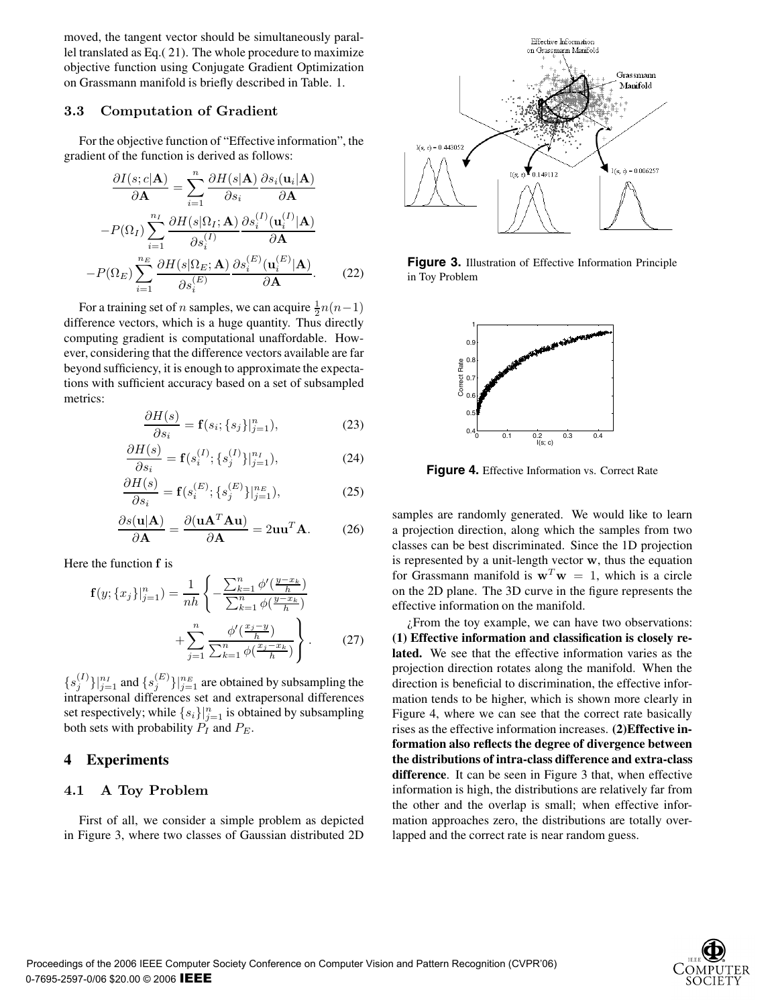moved, the tangent vector should be simultaneously parallel translated as Eq.( 21). The whole procedure to maximize objective function using Conjugate Gradient Optimization on Grassmann manifold is briefly described in Table. 1.

## **3.3 Computation of Gradient**

For the objective function of "Effective information", the gradient of the function is derived as follows:

$$
\frac{\partial I(s; c | \mathbf{A})}{\partial \mathbf{A}} = \sum_{i=1}^{n} \frac{\partial H(s | \mathbf{A})}{\partial s_i} \frac{\partial s_i(\mathbf{u}_i | \mathbf{A})}{\partial \mathbf{A}}
$$

$$
-P(\Omega_I) \sum_{i=1}^{n_I} \frac{\partial H(s | \Omega_I; \mathbf{A})}{\partial s_i^{(I)}} \frac{\partial s_i^{(I)}(\mathbf{u}_i^{(I)} | \mathbf{A})}{\partial \mathbf{A}}
$$

$$
-P(\Omega_E) \sum_{i=1}^{n_E} \frac{\partial H(s | \Omega_E; \mathbf{A})}{\partial s_i^{(E)}} \frac{\partial s_i^{(E)}(\mathbf{u}_i^{(E)} | \mathbf{A})}{\partial \mathbf{A}}.
$$
(22)

For a training set of *n* samples, we can acquire  $\frac{1}{2}n(n-1)$ <br>ference vectors, which is a buge quantity. Thus directly difference vectors, which is a huge quantity. Thus directly computing gradient is computational unaffordable. However, considering that the difference vectors available are far beyond sufficiency, it is enough to approximate the expectations with sufficient accuracy based on a set of subsampled metrics:

$$
\frac{\partial H(s)}{\partial s_i} = \mathbf{f}(s_i; \{s_j\}|_{j=1}^n),\tag{23}
$$

$$
\frac{\partial H(s)}{\partial s_i} = \mathbf{f}(s_i^{(I)}; \{s_j^{(I)}\}|_{j=1}^{n_I}),\tag{24}
$$

$$
\frac{\partial H(s)}{\partial s_i} = \mathbf{f}(s_i^{(E)}; \{s_j^{(E)}\}|_{j=1}^{n_E}),\tag{25}
$$

$$
\frac{\partial s(\mathbf{u}|\mathbf{A})}{\partial \mathbf{A}} = \frac{\partial (\mathbf{u}\mathbf{A}^T \mathbf{A} \mathbf{u})}{\partial \mathbf{A}} = 2\mathbf{u}\mathbf{u}^T \mathbf{A}.
$$
 (26)

Here the function **f** is

$$
\mathbf{f}(y; \{x_j\}|_{j=1}^n) = \frac{1}{nh} \left\{ -\frac{\sum_{k=1}^n \phi'(\frac{y-x_k}{h})}{\sum_{k=1}^n \phi(\frac{y-x_k}{h})} + \sum_{j=1}^n \frac{\phi'(\frac{x_j-y}{h})}{\sum_{k=1}^n \phi(\frac{x_j-x_k}{h})} \right\}.
$$
 (27)

 ${s_j^{(I)}}\big\vert_{j=1}^{n_I}$  and  $\{s_j^{(E)}\}\big\vert_{j=1}^{n_E}$  are obtained by subsampling the intrapersonal differences set and extrapersonal differences set respectively; while  $\{s_i\}_{i=1}^n$  is obtained by subsampling both sets with probability  $\tilde{P_I}$  and  $P_E$ .

## **4 Experiments**

### **4.1 A Toy Problem**

First of all, we consider a simple problem as depicted in Figure 3, where two classes of Gaussian distributed 2D



**Figure 3.** Illustration of Effective Information Principle in Toy Problem



**Figure 4.** Effective Information vs. Correct Rate

samples are randomly generated. We would like to learn a projection direction, along which the samples from two classes can be best discriminated. Since the 1D projection is represented by a unit-length vector **w**, thus the equation for Grassmann manifold is  $w^T w = 1$ , which is a circle on the 2D plane. The 3D curve in the figure represents the effective information on the manifold.

 $i$ From the toy example, we can have two observations: **(1) Effective information and classification is closely related.** We see that the effective information varies as the projection direction rotates along the manifold. When the direction is beneficial to discrimination, the effective information tends to be higher, which is shown more clearly in Figure 4, where we can see that the correct rate basically rises as the effective information increases. **(2)Effective information also reflects the degree of divergence between the distributions of intra-class difference and extra-class difference**. It can be seen in Figure 3 that, when effective information is high, the distributions are relatively far from the other and the overlap is small; when effective information approaches zero, the distributions are totally overlapped and the correct rate is near random guess.

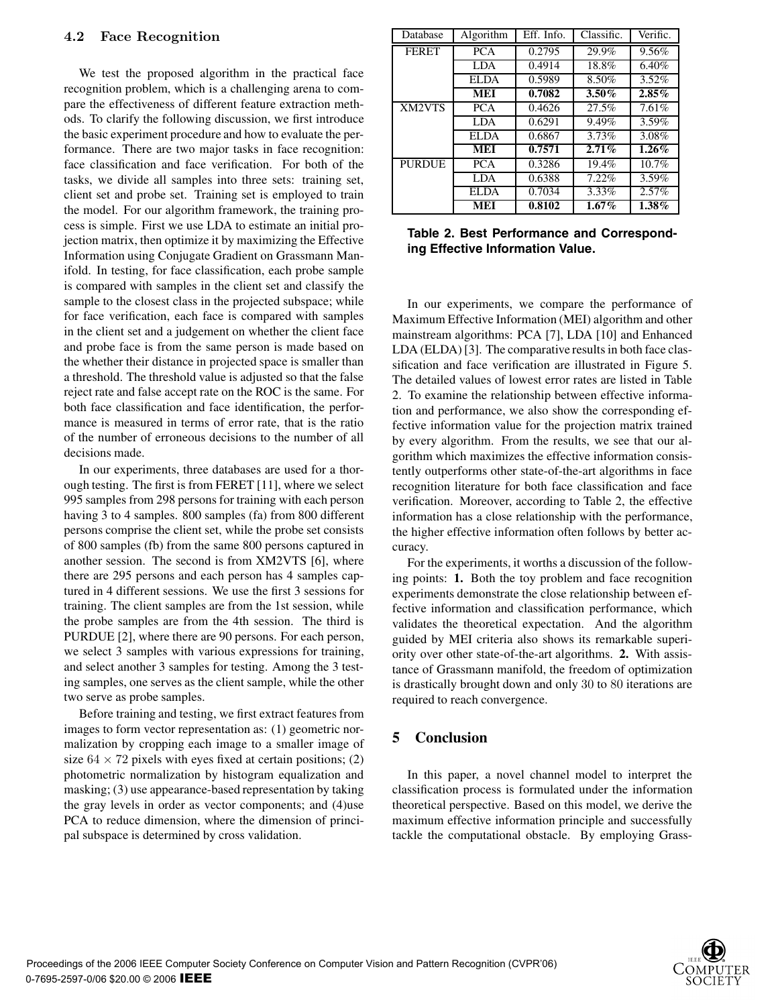### **4.2 Face Recognition**

We test the proposed algorithm in the practical face recognition problem, which is a challenging arena to compare the effectiveness of different feature extraction methods. To clarify the following discussion, we first introduce the basic experiment procedure and how to evaluate the performance. There are two major tasks in face recognition: face classification and face verification. For both of the tasks, we divide all samples into three sets: training set, client set and probe set. Training set is employed to train the model. For our algorithm framework, the training process is simple. First we use LDA to estimate an initial projection matrix, then optimize it by maximizing the Effective Information using Conjugate Gradient on Grassmann Manifold. In testing, for face classification, each probe sample is compared with samples in the client set and classify the sample to the closest class in the projected subspace; while for face verification, each face is compared with samples in the client set and a judgement on whether the client face and probe face is from the same person is made based on the whether their distance in projected space is smaller than a threshold. The threshold value is adjusted so that the false reject rate and false accept rate on the ROC is the same. For both face classification and face identification, the performance is measured in terms of error rate, that is the ratio of the number of erroneous decisions to the number of all decisions made.

In our experiments, three databases are used for a thorough testing. The first is from FERET [11], where we select 995 samples from 298 persons for training with each person having 3 to 4 samples. 800 samples (fa) from 800 different persons comprise the client set, while the probe set consists of 800 samples (fb) from the same 800 persons captured in another session. The second is from XM2VTS [6], where there are 295 persons and each person has 4 samples captured in 4 different sessions. We use the first 3 sessions for training. The client samples are from the 1st session, while the probe samples are from the 4th session. The third is PURDUE [2], where there are 90 persons. For each person, we select 3 samples with various expressions for training, and select another 3 samples for testing. Among the 3 testing samples, one serves as the client sample, while the other two serve as probe samples.

Before training and testing, we first extract features from images to form vector representation as: (1) geometric normalization by cropping each image to a smaller image of size  $64 \times 72$  pixels with eyes fixed at certain positions; (2) photometric normalization by histogram equalization and masking; (3) use appearance-based representation by taking the gray levels in order as vector components; and (4)use PCA to reduce dimension, where the dimension of principal subspace is determined by cross validation.

| Database      | Algorithm   | Eff. Info. | Classific. | Verific.            |
|---------------|-------------|------------|------------|---------------------|
| <b>FERET</b>  | <b>PCA</b>  | 0.2795     | 29.9%      | 9.56%               |
|               | <b>LDA</b>  | 0.4914     | 18.8%      | 6.40%               |
|               | <b>ELDA</b> | 0.5989     | 8.50%      | $3.5\overline{2\%}$ |
|               | <b>MEI</b>  | 0.7082     | $3.50\%$   | $2.85\%$            |
| XM2VTS        | <b>PCA</b>  | 0.4626     | 27.5%      | 7.61%               |
|               | <b>LDA</b>  | 0.6291     | 9.49%      | $3.59\%$            |
|               | <b>ELDA</b> | 0.6867     | 3.73%      | 3.08%               |
|               | <b>MEI</b>  | 0.7571     | $2.71\%$   | $1.26\%$            |
| <b>PURDUE</b> | <b>PCA</b>  | 0.3286     | 19.4%      | $10.7\%$            |
|               | <b>LDA</b>  | 0.6388     | 7.22%      | $3.59\%$            |
|               | <b>ELDA</b> | 0.7034     | 3.33%      | $2.57\%$            |
|               | <b>MEI</b>  | 0.8102     | $1.67\%$   | $1.38\%$            |

**Table 2. Best Performance and Corresponding Effective Information Value.**

In our experiments, we compare the performance of Maximum Effective Information (MEI) algorithm and other mainstream algorithms: PCA [7], LDA [10] and Enhanced LDA (ELDA) [3]. The comparative results in both face classification and face verification are illustrated in Figure 5. The detailed values of lowest error rates are listed in Table 2. To examine the relationship between effective information and performance, we also show the corresponding effective information value for the projection matrix trained by every algorithm. From the results, we see that our algorithm which maximizes the effective information consistently outperforms other state-of-the-art algorithms in face recognition literature for both face classification and face verification. Moreover, according to Table 2, the effective information has a close relationship with the performance, the higher effective information often follows by better accuracy.

For the experiments, it worths a discussion of the following points: **1.** Both the toy problem and face recognition experiments demonstrate the close relationship between effective information and classification performance, which validates the theoretical expectation. And the algorithm guided by MEI criteria also shows its remarkable superiority over other state-of-the-art algorithms. **2.** With assistance of Grassmann manifold, the freedom of optimization is drastically brought down and only 30 to 80 iterations are required to reach convergence.

## **5 Conclusion**

In this paper, a novel channel model to interpret the classification process is formulated under the information theoretical perspective. Based on this model, we derive the maximum effective information principle and successfully tackle the computational obstacle. By employing Grass-